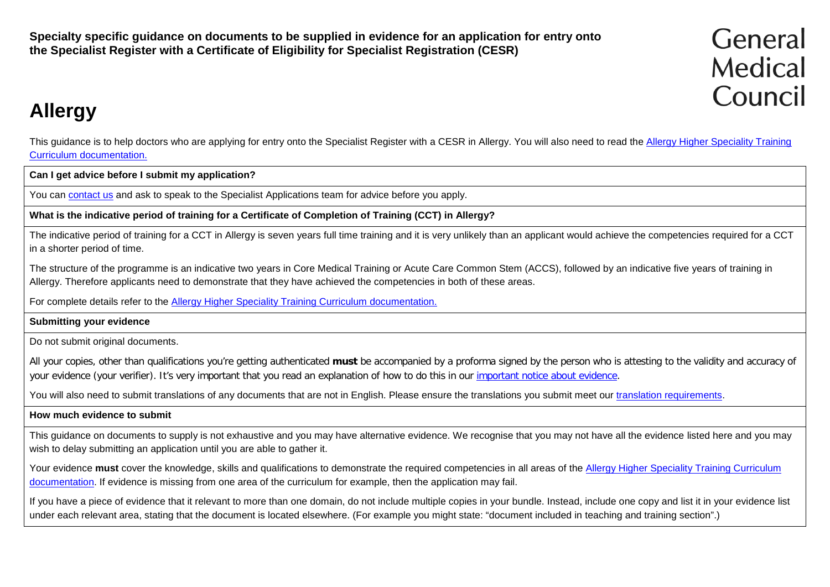**Specialty specific guidance on documents to be supplied in evidence for an application for entry onto the Specialist Register with a Certificate of Eligibility for Specialist Registration (CESR)**

# **Allergy**

This guidance is to help doctors who are applying for entry onto the Specialist Register with a CESR in Allergy. You will also need to read the [Allergy Higher Speciality Training](http://www.gmc-uk.org/education/postgraduate/allergy.asp) [Curriculum documentation.](http://www.gmc-uk.org/education/postgraduate/allergy.asp)

**Can I get advice before I submit my application?**

You can [contact us](http://www.gmc-uk.org/contact.asp) and ask to speak to the Specialist Applications team for advice before you apply.

**What is the indicative period of training for a Certificate of Completion of Training (CCT) in Allergy?**

The indicative period of training for a CCT in Allergy is seven years full time training and it is very unlikely than an applicant would achieve the competencies required for a CCT in a shorter period of time.

The structure of the programme is an indicative two years in Core Medical Training or Acute Care Common Stem (ACCS), followed by an indicative five years of training in Allergy. Therefore applicants need to demonstrate that they have achieved the competencies in both of these areas.

For complete details refer to the [Allergy Higher Speciality Training Curriculum documentation.](http://www.gmc-uk.org/education/postgraduate/allergy.asp)

**Submitting your evidence**

Do not submit original documents.

All your copies, other than qualifications you're getting authenticated **must** be accompanied by a proforma signed by the person who is attesting to the validity and accuracy of your evidence (your verifier). It's very important that you read an explanation of how to do this in our [important notice about evidence.](http://www.gmc-uk.org/doctors/evidence_notice.asp)

You will also need to submit translations of any documents that are not in English. Please ensure the translations you submit meet our [translation requirements.](http://www.gmc-uk.org/doctors/translations.asp)

#### **How much evidence to submit**

This guidance on documents to supply is not exhaustive and you may have alternative evidence. We recognise that you may not have all the evidence listed here and you may wish to delay submitting an application until you are able to gather it.

Your evidence must cover the knowledge, skills and qualifications to demonstrate the required competencies in all areas of the Allergy Higher Speciality Training Curriculum [documentation.](http://www.gmc-uk.org/education/allergy.asp) If evidence is missing from one area of the curriculum for example, then the application may fail.

If you have a piece of evidence that it relevant to more than one domain, do not include multiple copies in your bundle. Instead, include one copy and list it in your evidence list under each relevant area, stating that the document is located elsewhere. (For example you might state: "document included in teaching and training section".)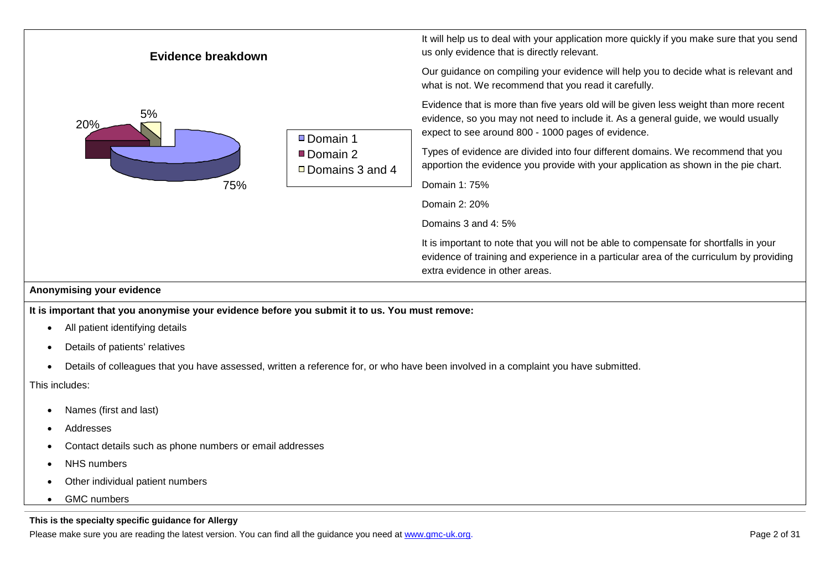

• GMC numbers

#### **This is the specialty specific guidance for Allergy**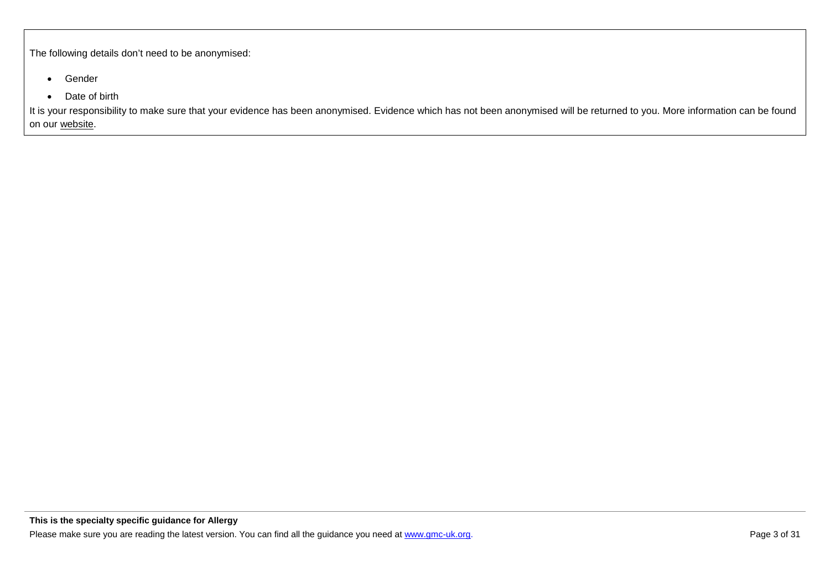The following details don't need to be anonymised:

- Gender
- Date of birth

It is your responsibility to make sure that your evidence has been anonymised. Evidence which has not been anonymised will be returned to you. More information can be found on our [website.](http://www.gmc-uk.org/doctors/24769.asp)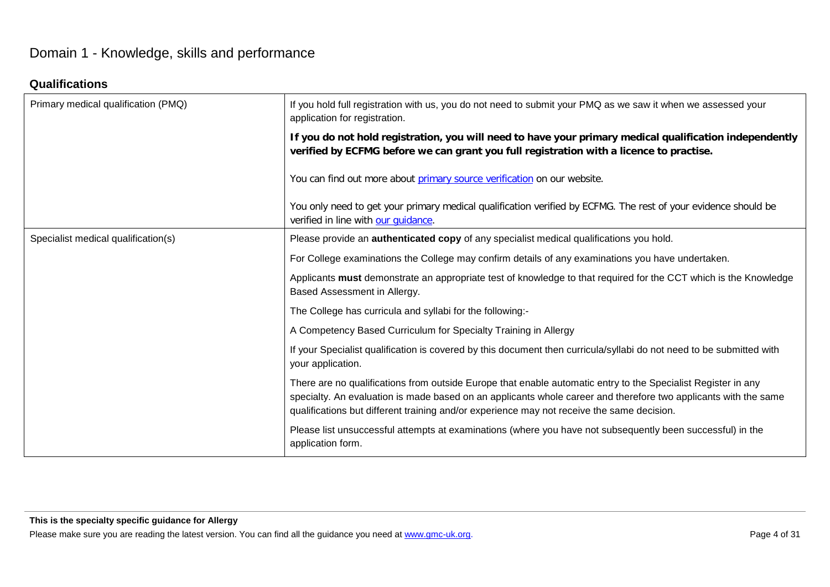# Domain 1 - Knowledge, skills and performance

# **Qualifications**

| Primary medical qualification (PMQ) | If you hold full registration with us, you do not need to submit your PMQ as we saw it when we assessed your<br>application for registration.                                                                                                                                                                                  |
|-------------------------------------|--------------------------------------------------------------------------------------------------------------------------------------------------------------------------------------------------------------------------------------------------------------------------------------------------------------------------------|
|                                     | If you do not hold registration, you will need to have your primary medical qualification independently<br>verified by ECFMG before we can grant you full registration with a licence to practise.                                                                                                                             |
|                                     | You can find out more about primary source verification on our website.                                                                                                                                                                                                                                                        |
|                                     | You only need to get your primary medical qualification verified by ECFMG. The rest of your evidence should be<br>verified in line with our guidance.                                                                                                                                                                          |
| Specialist medical qualification(s) | Please provide an <b>authenticated copy</b> of any specialist medical qualifications you hold.                                                                                                                                                                                                                                 |
|                                     | For College examinations the College may confirm details of any examinations you have undertaken.                                                                                                                                                                                                                              |
|                                     | Applicants must demonstrate an appropriate test of knowledge to that required for the CCT which is the Knowledge<br>Based Assessment in Allergy.                                                                                                                                                                               |
|                                     | The College has curricula and syllabi for the following:-                                                                                                                                                                                                                                                                      |
|                                     | A Competency Based Curriculum for Specialty Training in Allergy                                                                                                                                                                                                                                                                |
|                                     | If your Specialist qualification is covered by this document then curricula/syllabi do not need to be submitted with<br>your application.                                                                                                                                                                                      |
|                                     | There are no qualifications from outside Europe that enable automatic entry to the Specialist Register in any<br>specialty. An evaluation is made based on an applicants whole career and therefore two applicants with the same<br>qualifications but different training and/or experience may not receive the same decision. |
|                                     | Please list unsuccessful attempts at examinations (where you have not subsequently been successful) in the<br>application form.                                                                                                                                                                                                |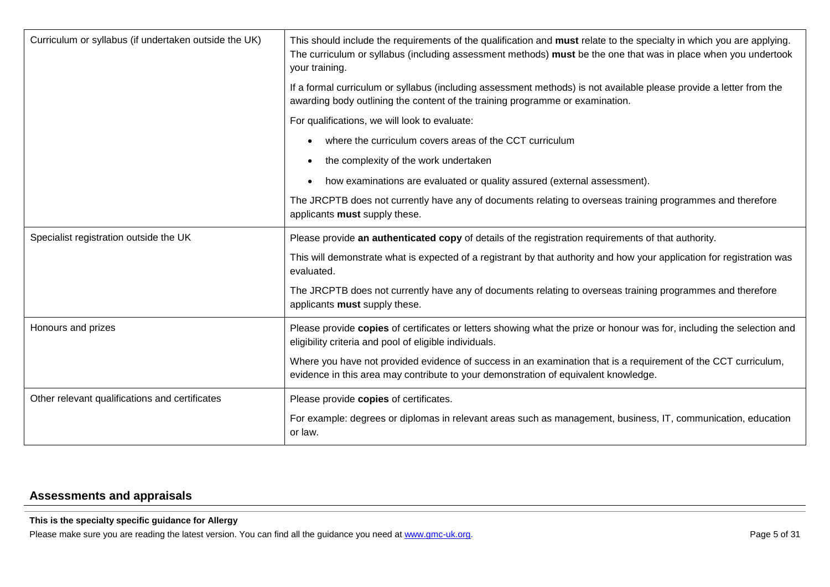| Curriculum or syllabus (if undertaken outside the UK) | This should include the requirements of the qualification and must relate to the specialty in which you are applying.<br>The curriculum or syllabus (including assessment methods) must be the one that was in place when you undertook<br>your training. |
|-------------------------------------------------------|-----------------------------------------------------------------------------------------------------------------------------------------------------------------------------------------------------------------------------------------------------------|
|                                                       | If a formal curriculum or syllabus (including assessment methods) is not available please provide a letter from the<br>awarding body outlining the content of the training programme or examination.                                                      |
|                                                       | For qualifications, we will look to evaluate:                                                                                                                                                                                                             |
|                                                       | where the curriculum covers areas of the CCT curriculum<br>$\bullet$                                                                                                                                                                                      |
|                                                       | the complexity of the work undertaken<br>$\bullet$                                                                                                                                                                                                        |
|                                                       | how examinations are evaluated or quality assured (external assessment).<br>$\bullet$                                                                                                                                                                     |
|                                                       | The JRCPTB does not currently have any of documents relating to overseas training programmes and therefore<br>applicants must supply these.                                                                                                               |
| Specialist registration outside the UK                | Please provide an authenticated copy of details of the registration requirements of that authority.                                                                                                                                                       |
|                                                       | This will demonstrate what is expected of a registrant by that authority and how your application for registration was<br>evaluated.                                                                                                                      |
|                                                       | The JRCPTB does not currently have any of documents relating to overseas training programmes and therefore<br>applicants must supply these.                                                                                                               |
| Honours and prizes                                    | Please provide copies of certificates or letters showing what the prize or honour was for, including the selection and<br>eligibility criteria and pool of eligible individuals.                                                                          |
|                                                       | Where you have not provided evidence of success in an examination that is a requirement of the CCT curriculum,<br>evidence in this area may contribute to your demonstration of equivalent knowledge.                                                     |
| Other relevant qualifications and certificates        | Please provide copies of certificates.                                                                                                                                                                                                                    |
|                                                       | For example: degrees or diplomas in relevant areas such as management, business, IT, communication, education<br>or law.                                                                                                                                  |

# **Assessments and appraisals**

### **This is the specialty specific guidance for Allergy**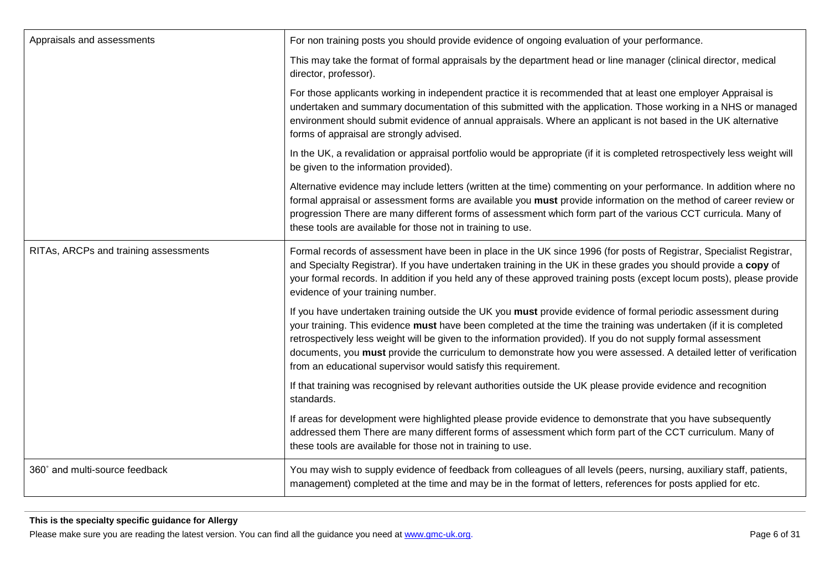| Appraisals and assessments            | For non training posts you should provide evidence of ongoing evaluation of your performance.                                                                                                                                                                                                                                                                                                                                                                                                                                                |
|---------------------------------------|----------------------------------------------------------------------------------------------------------------------------------------------------------------------------------------------------------------------------------------------------------------------------------------------------------------------------------------------------------------------------------------------------------------------------------------------------------------------------------------------------------------------------------------------|
|                                       | This may take the format of formal appraisals by the department head or line manager (clinical director, medical<br>director, professor).                                                                                                                                                                                                                                                                                                                                                                                                    |
|                                       | For those applicants working in independent practice it is recommended that at least one employer Appraisal is<br>undertaken and summary documentation of this submitted with the application. Those working in a NHS or managed<br>environment should submit evidence of annual appraisals. Where an applicant is not based in the UK alternative<br>forms of appraisal are strongly advised.                                                                                                                                               |
|                                       | In the UK, a revalidation or appraisal portfolio would be appropriate (if it is completed retrospectively less weight will<br>be given to the information provided).                                                                                                                                                                                                                                                                                                                                                                         |
|                                       | Alternative evidence may include letters (written at the time) commenting on your performance. In addition where no<br>formal appraisal or assessment forms are available you must provide information on the method of career review or<br>progression There are many different forms of assessment which form part of the various CCT curricula. Many of<br>these tools are available for those not in training to use.                                                                                                                    |
| RITAs, ARCPs and training assessments | Formal records of assessment have been in place in the UK since 1996 (for posts of Registrar, Specialist Registrar,<br>and Specialty Registrar). If you have undertaken training in the UK in these grades you should provide a copy of<br>your formal records. In addition if you held any of these approved training posts (except locum posts), please provide<br>evidence of your training number.                                                                                                                                       |
|                                       | If you have undertaken training outside the UK you must provide evidence of formal periodic assessment during<br>your training. This evidence must have been completed at the time the training was undertaken (if it is completed<br>retrospectively less weight will be given to the information provided). If you do not supply formal assessment<br>documents, you must provide the curriculum to demonstrate how you were assessed. A detailed letter of verification<br>from an educational supervisor would satisfy this requirement. |
|                                       | If that training was recognised by relevant authorities outside the UK please provide evidence and recognition<br>standards.                                                                                                                                                                                                                                                                                                                                                                                                                 |
|                                       | If areas for development were highlighted please provide evidence to demonstrate that you have subsequently<br>addressed them There are many different forms of assessment which form part of the CCT curriculum. Many of<br>these tools are available for those not in training to use.                                                                                                                                                                                                                                                     |
| 360° and multi-source feedback        | You may wish to supply evidence of feedback from colleagues of all levels (peers, nursing, auxiliary staff, patients,<br>management) completed at the time and may be in the format of letters, references for posts applied for etc.                                                                                                                                                                                                                                                                                                        |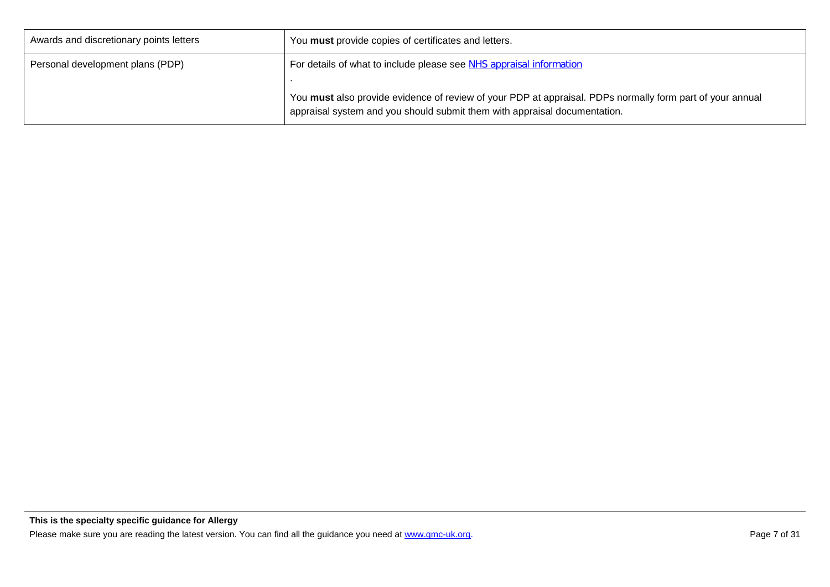| Awards and discretionary points letters | You must provide copies of certificates and letters.                                                                                                                                   |
|-----------------------------------------|----------------------------------------------------------------------------------------------------------------------------------------------------------------------------------------|
| Personal development plans (PDP)        | For details of what to include please see NHS appraisal information                                                                                                                    |
|                                         | You must also provide evidence of review of your PDP at appraisal. PDPs normally form part of your annual<br>appraisal system and you should submit them with appraisal documentation. |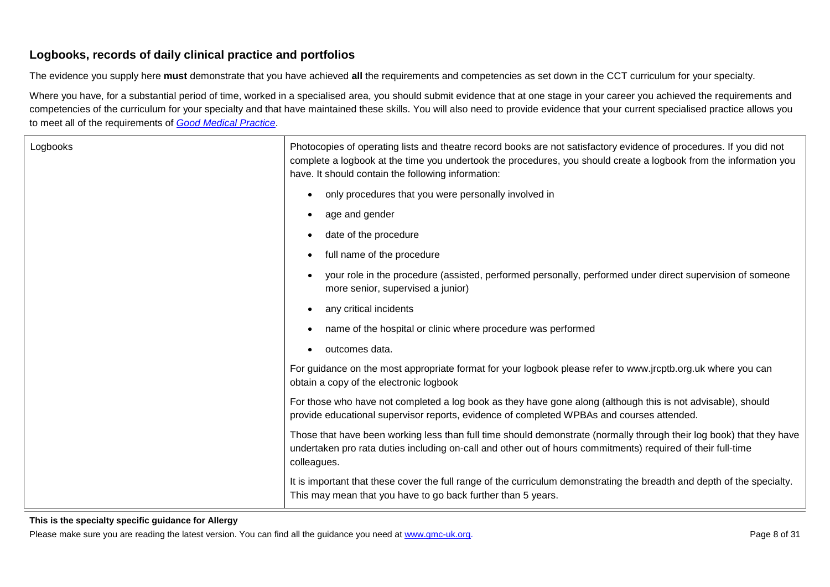### **Logbooks, records of daily clinical practice and portfolios**

The evidence you supply here **must** demonstrate that you have achieved **all** the requirements and competencies as set down in the CCT curriculum for your specialty.

Where you have, for a substantial period of time, worked in a specialised area, you should submit evidence that at one stage in your career you achieved the requirements and competencies of the curriculum for your specialty and that have maintained these skills. You will also need to provide evidence that your current specialised practice allows you to meet all of the requirements of *[Good Medical Practice](http://www.gmc-uk.org/guidance/good_medical_practice.asp)*.

| Logbooks | Photocopies of operating lists and theatre record books are not satisfactory evidence of procedures. If you did not<br>complete a logbook at the time you undertook the procedures, you should create a logbook from the information you<br>have. It should contain the following information: |
|----------|------------------------------------------------------------------------------------------------------------------------------------------------------------------------------------------------------------------------------------------------------------------------------------------------|
|          | only procedures that you were personally involved in<br>$\bullet$                                                                                                                                                                                                                              |
|          | age and gender<br>$\bullet$                                                                                                                                                                                                                                                                    |
|          | date of the procedure<br>$\bullet$                                                                                                                                                                                                                                                             |
|          | full name of the procedure<br>$\bullet$                                                                                                                                                                                                                                                        |
|          | your role in the procedure (assisted, performed personally, performed under direct supervision of someone<br>more senior, supervised a junior)                                                                                                                                                 |
|          | any critical incidents<br>$\bullet$                                                                                                                                                                                                                                                            |
|          | name of the hospital or clinic where procedure was performed<br>$\bullet$                                                                                                                                                                                                                      |
|          | outcomes data.<br>$\bullet$                                                                                                                                                                                                                                                                    |
|          | For guidance on the most appropriate format for your logbook please refer to www.jrcptb.org.uk where you can<br>obtain a copy of the electronic logbook                                                                                                                                        |
|          | For those who have not completed a log book as they have gone along (although this is not advisable), should<br>provide educational supervisor reports, evidence of completed WPBAs and courses attended.                                                                                      |
|          | Those that have been working less than full time should demonstrate (normally through their log book) that they have<br>undertaken pro rata duties including on-call and other out of hours commitments) required of their full-time<br>colleagues.                                            |
|          | It is important that these cover the full range of the curriculum demonstrating the breadth and depth of the specialty.<br>This may mean that you have to go back further than 5 years.                                                                                                        |

#### **This is the specialty specific guidance for Allergy**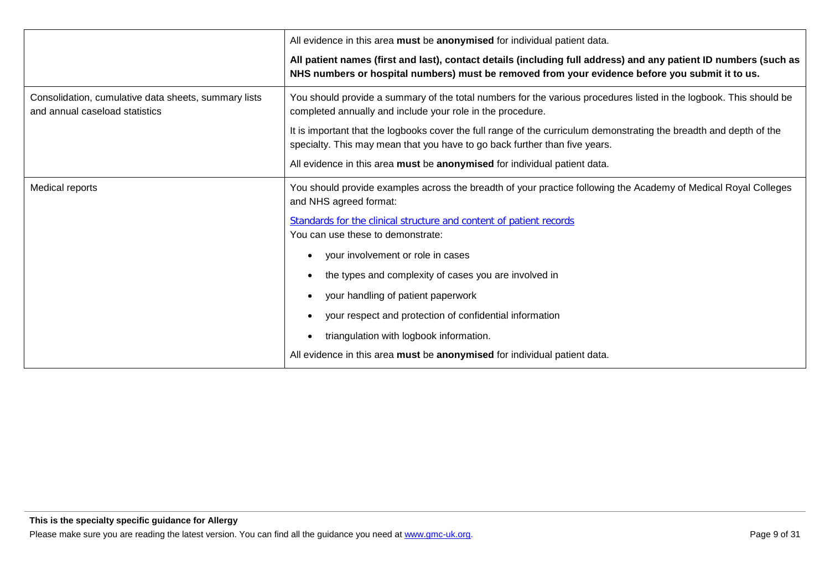|                                                                                        | All evidence in this area must be anonymised for individual patient data.                                                                                                                                           |
|----------------------------------------------------------------------------------------|---------------------------------------------------------------------------------------------------------------------------------------------------------------------------------------------------------------------|
|                                                                                        | All patient names (first and last), contact details (including full address) and any patient ID numbers (such as<br>NHS numbers or hospital numbers) must be removed from your evidence before you submit it to us. |
| Consolidation, cumulative data sheets, summary lists<br>and annual caseload statistics | You should provide a summary of the total numbers for the various procedures listed in the logbook. This should be<br>completed annually and include your role in the procedure.                                    |
|                                                                                        | It is important that the logbooks cover the full range of the curriculum demonstrating the breadth and depth of the<br>specialty. This may mean that you have to go back further than five years.                   |
|                                                                                        | All evidence in this area must be anonymised for individual patient data.                                                                                                                                           |
| Medical reports                                                                        | You should provide examples across the breadth of your practice following the Academy of Medical Royal Colleges<br>and NHS agreed format:                                                                           |
|                                                                                        | Standards for the clinical structure and content of patient records<br>You can use these to demonstrate:                                                                                                            |
|                                                                                        | your involvement or role in cases                                                                                                                                                                                   |
|                                                                                        | the types and complexity of cases you are involved in                                                                                                                                                               |
|                                                                                        | your handling of patient paperwork<br>$\bullet$                                                                                                                                                                     |
|                                                                                        | your respect and protection of confidential information                                                                                                                                                             |
|                                                                                        | triangulation with logbook information.                                                                                                                                                                             |
|                                                                                        | All evidence in this area must be anonymised for individual patient data.                                                                                                                                           |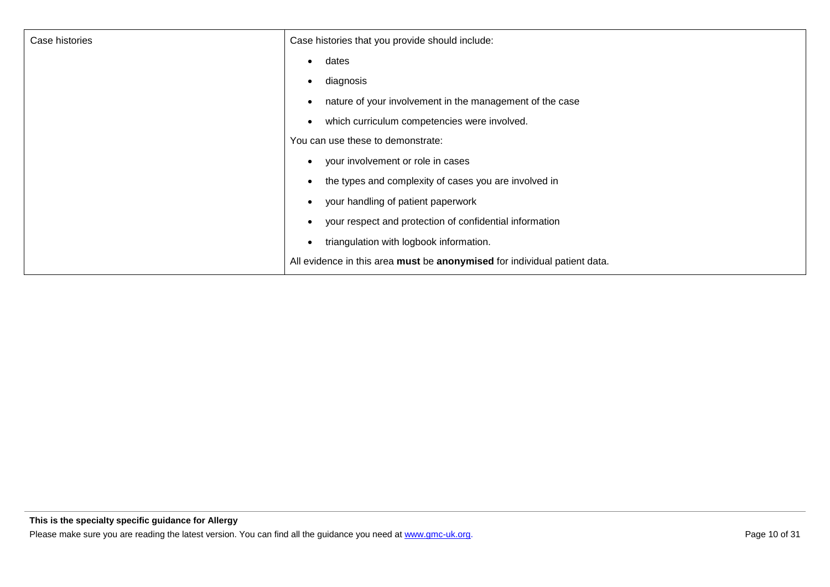| Case histories | Case histories that you provide should include:                           |
|----------------|---------------------------------------------------------------------------|
|                | dates<br>$\bullet$                                                        |
|                | diagnosis<br>$\bullet$                                                    |
|                | nature of your involvement in the management of the case                  |
|                | which curriculum competencies were involved.                              |
|                | You can use these to demonstrate:                                         |
|                | your involvement or role in cases<br>$\bullet$                            |
|                | the types and complexity of cases you are involved in                     |
|                | your handling of patient paperwork<br>$\bullet$                           |
|                | your respect and protection of confidential information<br>$\bullet$      |
|                | triangulation with logbook information.<br>$\bullet$                      |
|                | All evidence in this area must be anonymised for individual patient data. |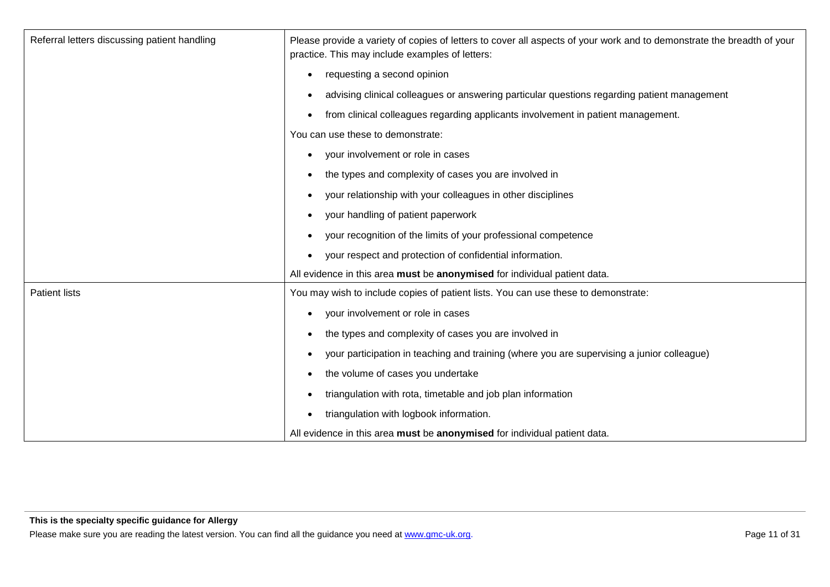| Referral letters discussing patient handling | Please provide a variety of copies of letters to cover all aspects of your work and to demonstrate the breadth of your<br>practice. This may include examples of letters: |
|----------------------------------------------|---------------------------------------------------------------------------------------------------------------------------------------------------------------------------|
|                                              | requesting a second opinion<br>$\bullet$                                                                                                                                  |
|                                              | advising clinical colleagues or answering particular questions regarding patient management                                                                               |
|                                              | from clinical colleagues regarding applicants involvement in patient management.<br>$\bullet$                                                                             |
|                                              | You can use these to demonstrate:                                                                                                                                         |
|                                              | your involvement or role in cases<br>$\bullet$                                                                                                                            |
|                                              | the types and complexity of cases you are involved in<br>$\bullet$                                                                                                        |
|                                              | your relationship with your colleagues in other disciplines<br>$\bullet$                                                                                                  |
|                                              | your handling of patient paperwork<br>$\bullet$                                                                                                                           |
|                                              | your recognition of the limits of your professional competence                                                                                                            |
|                                              | your respect and protection of confidential information.<br>$\bullet$                                                                                                     |
|                                              | All evidence in this area must be anonymised for individual patient data.                                                                                                 |
| <b>Patient lists</b>                         | You may wish to include copies of patient lists. You can use these to demonstrate:                                                                                        |
|                                              | your involvement or role in cases<br>$\bullet$                                                                                                                            |
|                                              | the types and complexity of cases you are involved in<br>$\bullet$                                                                                                        |
|                                              | your participation in teaching and training (where you are supervising a junior colleague)<br>$\bullet$                                                                   |
|                                              | the volume of cases you undertake<br>$\bullet$                                                                                                                            |
|                                              | triangulation with rota, timetable and job plan information<br>$\bullet$                                                                                                  |
|                                              | triangulation with logbook information.<br>$\bullet$                                                                                                                      |
|                                              | All evidence in this area must be anonymised for individual patient data.                                                                                                 |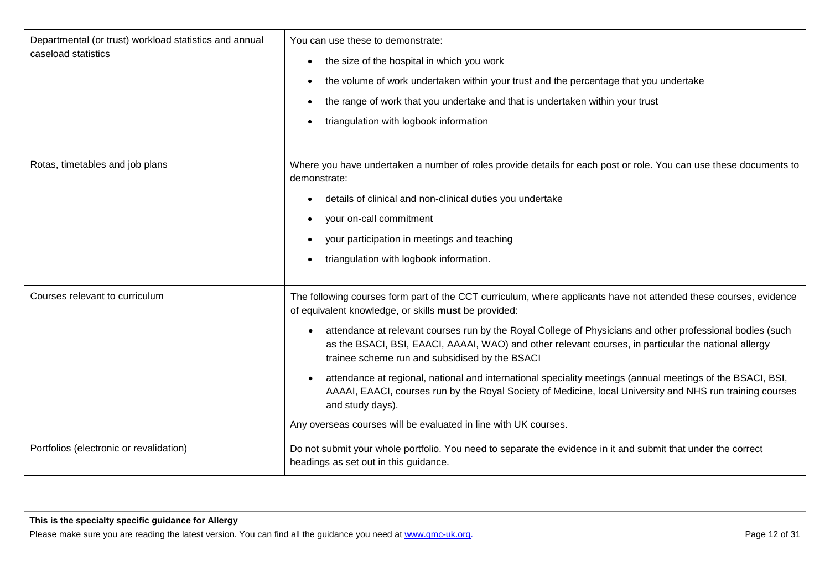| Departmental (or trust) workload statistics and annual<br>caseload statistics | You can use these to demonstrate:                                                                                                                                                                                                                                   |
|-------------------------------------------------------------------------------|---------------------------------------------------------------------------------------------------------------------------------------------------------------------------------------------------------------------------------------------------------------------|
|                                                                               | the size of the hospital in which you work<br>$\bullet$                                                                                                                                                                                                             |
|                                                                               | the volume of work undertaken within your trust and the percentage that you undertake<br>٠                                                                                                                                                                          |
|                                                                               | the range of work that you undertake and that is undertaken within your trust                                                                                                                                                                                       |
|                                                                               | triangulation with logbook information                                                                                                                                                                                                                              |
|                                                                               |                                                                                                                                                                                                                                                                     |
| Rotas, timetables and job plans                                               | Where you have undertaken a number of roles provide details for each post or role. You can use these documents to<br>demonstrate:                                                                                                                                   |
|                                                                               | details of clinical and non-clinical duties you undertake                                                                                                                                                                                                           |
|                                                                               | your on-call commitment<br>$\bullet$                                                                                                                                                                                                                                |
|                                                                               | your participation in meetings and teaching                                                                                                                                                                                                                         |
|                                                                               | triangulation with logbook information.<br>$\bullet$                                                                                                                                                                                                                |
|                                                                               |                                                                                                                                                                                                                                                                     |
| Courses relevant to curriculum                                                | The following courses form part of the CCT curriculum, where applicants have not attended these courses, evidence<br>of equivalent knowledge, or skills must be provided:                                                                                           |
|                                                                               | attendance at relevant courses run by the Royal College of Physicians and other professional bodies (such<br>as the BSACI, BSI, EAACI, AAAAI, WAO) and other relevant courses, in particular the national allergy<br>trainee scheme run and subsidised by the BSACI |
|                                                                               | attendance at regional, national and international speciality meetings (annual meetings of the BSACI, BSI,<br>AAAAI, EAACI, courses run by the Royal Society of Medicine, local University and NHS run training courses<br>and study days).                         |
|                                                                               | Any overseas courses will be evaluated in line with UK courses.                                                                                                                                                                                                     |
| Portfolios (electronic or revalidation)                                       | Do not submit your whole portfolio. You need to separate the evidence in it and submit that under the correct<br>headings as set out in this guidance.                                                                                                              |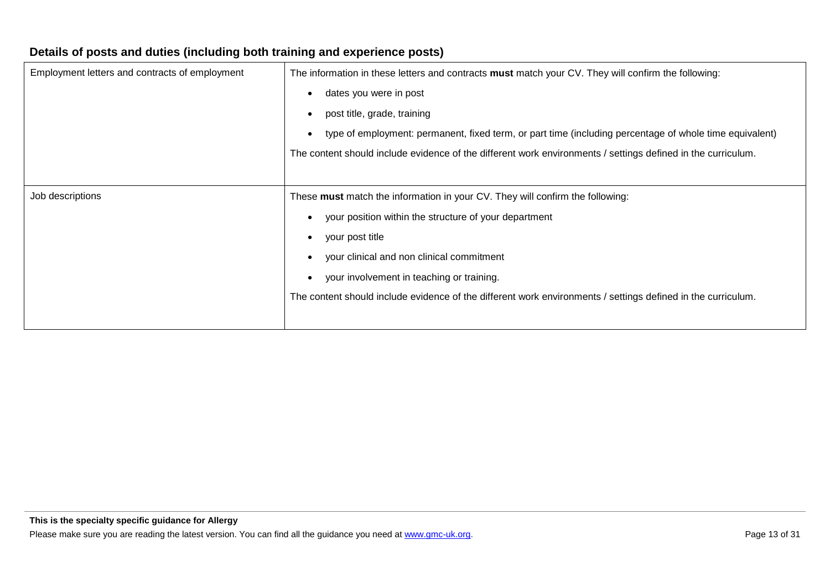| The information in these letters and contracts must match your CV. They will confirm the following:          |
|--------------------------------------------------------------------------------------------------------------|
| dates you were in post                                                                                       |
| post title, grade, training                                                                                  |
| type of employment: permanent, fixed term, or part time (including percentage of whole time equivalent)      |
| The content should include evidence of the different work environments / settings defined in the curriculum. |
|                                                                                                              |
| These must match the information in your CV. They will confirm the following:                                |
| your position within the structure of your department                                                        |
| your post title                                                                                              |
| your clinical and non clinical commitment                                                                    |
| your involvement in teaching or training.                                                                    |
| The content should include evidence of the different work environments / settings defined in the curriculum. |
|                                                                                                              |
|                                                                                                              |

### **Details of posts and duties (including both training and experience posts)**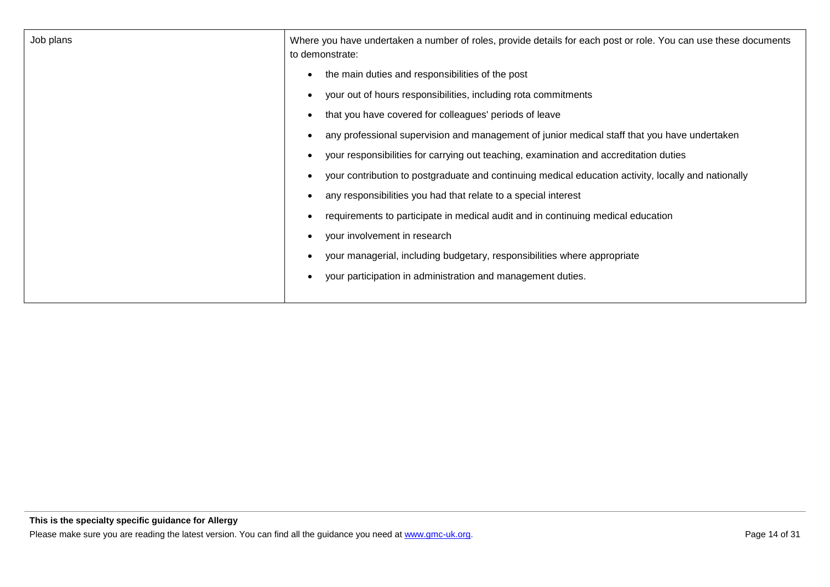| Job plans | Where you have undertaken a number of roles, provide details for each post or role. You can use these documents<br>to demonstrate: |
|-----------|------------------------------------------------------------------------------------------------------------------------------------|
|           | the main duties and responsibilities of the post                                                                                   |
|           | your out of hours responsibilities, including rota commitments                                                                     |
|           | that you have covered for colleagues' periods of leave                                                                             |
|           | any professional supervision and management of junior medical staff that you have undertaken                                       |
|           | your responsibilities for carrying out teaching, examination and accreditation duties                                              |
|           | your contribution to postgraduate and continuing medical education activity, locally and nationally                                |
|           | any responsibilities you had that relate to a special interest                                                                     |
|           | requirements to participate in medical audit and in continuing medical education                                                   |
|           | your involvement in research                                                                                                       |
|           | your managerial, including budgetary, responsibilities where appropriate                                                           |
|           | your participation in administration and management duties.                                                                        |
|           |                                                                                                                                    |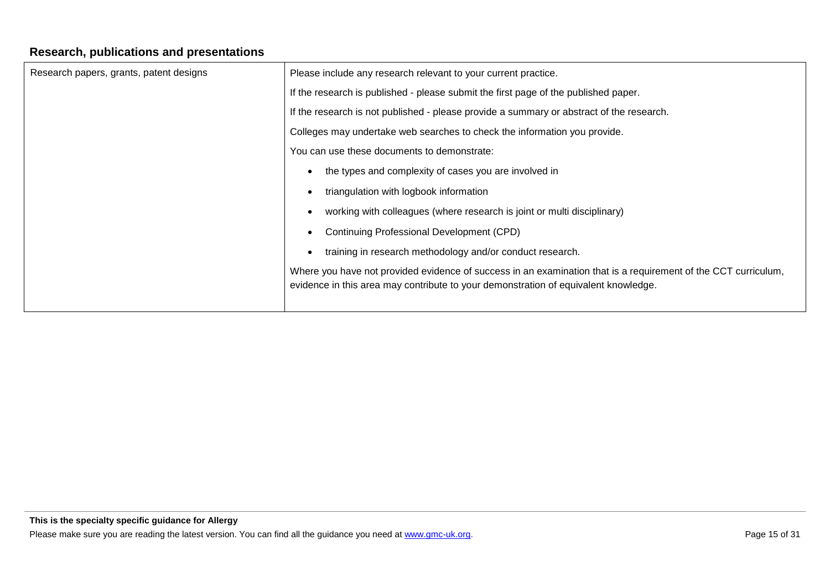# **Research, publications and presentations**

| Research papers, grants, patent designs | Please include any research relevant to your current practice.                                                                                                                                        |
|-----------------------------------------|-------------------------------------------------------------------------------------------------------------------------------------------------------------------------------------------------------|
|                                         | If the research is published - please submit the first page of the published paper.                                                                                                                   |
|                                         | If the research is not published - please provide a summary or abstract of the research.                                                                                                              |
|                                         | Colleges may undertake web searches to check the information you provide.                                                                                                                             |
|                                         | You can use these documents to demonstrate:                                                                                                                                                           |
|                                         | the types and complexity of cases you are involved in                                                                                                                                                 |
|                                         | triangulation with logbook information                                                                                                                                                                |
|                                         | working with colleagues (where research is joint or multi disciplinary)                                                                                                                               |
|                                         | Continuing Professional Development (CPD)                                                                                                                                                             |
|                                         | training in research methodology and/or conduct research.                                                                                                                                             |
|                                         | Where you have not provided evidence of success in an examination that is a requirement of the CCT curriculum,<br>evidence in this area may contribute to your demonstration of equivalent knowledge. |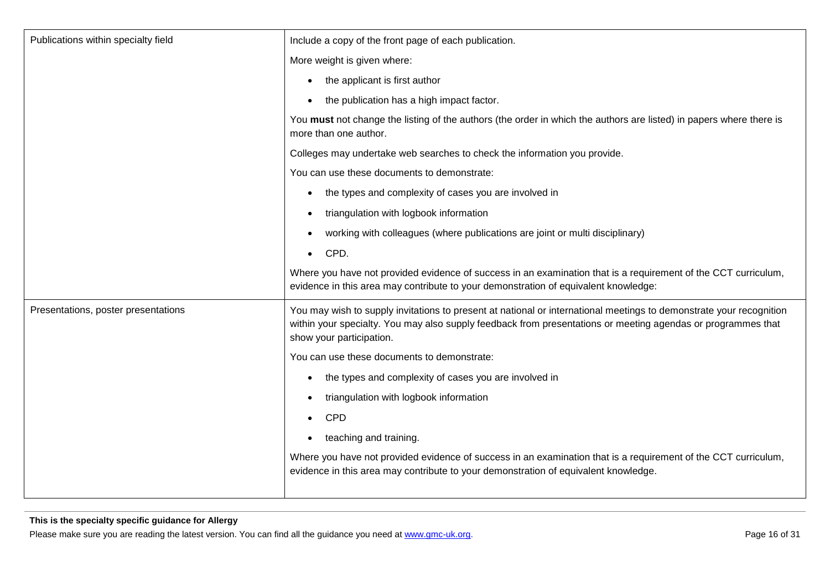| Publications within specialty field | Include a copy of the front page of each publication.                                                                                                                                                                                                           |
|-------------------------------------|-----------------------------------------------------------------------------------------------------------------------------------------------------------------------------------------------------------------------------------------------------------------|
|                                     | More weight is given where:                                                                                                                                                                                                                                     |
|                                     | the applicant is first author                                                                                                                                                                                                                                   |
|                                     | the publication has a high impact factor.<br>$\bullet$                                                                                                                                                                                                          |
|                                     | You must not change the listing of the authors (the order in which the authors are listed) in papers where there is<br>more than one author.                                                                                                                    |
|                                     | Colleges may undertake web searches to check the information you provide.                                                                                                                                                                                       |
|                                     | You can use these documents to demonstrate:                                                                                                                                                                                                                     |
|                                     | the types and complexity of cases you are involved in<br>$\bullet$                                                                                                                                                                                              |
|                                     | triangulation with logbook information<br>$\bullet$                                                                                                                                                                                                             |
|                                     | working with colleagues (where publications are joint or multi disciplinary)<br>$\bullet$                                                                                                                                                                       |
|                                     | CPD.<br>$\bullet$                                                                                                                                                                                                                                               |
|                                     | Where you have not provided evidence of success in an examination that is a requirement of the CCT curriculum,<br>evidence in this area may contribute to your demonstration of equivalent knowledge:                                                           |
| Presentations, poster presentations | You may wish to supply invitations to present at national or international meetings to demonstrate your recognition<br>within your specialty. You may also supply feedback from presentations or meeting agendas or programmes that<br>show your participation. |
|                                     | You can use these documents to demonstrate:                                                                                                                                                                                                                     |
|                                     | the types and complexity of cases you are involved in<br>$\bullet$                                                                                                                                                                                              |
|                                     | triangulation with logbook information<br>$\bullet$                                                                                                                                                                                                             |
|                                     | <b>CPD</b><br>$\bullet$                                                                                                                                                                                                                                         |
|                                     | teaching and training.                                                                                                                                                                                                                                          |
|                                     | Where you have not provided evidence of success in an examination that is a requirement of the CCT curriculum,<br>evidence in this area may contribute to your demonstration of equivalent knowledge.                                                           |
|                                     |                                                                                                                                                                                                                                                                 |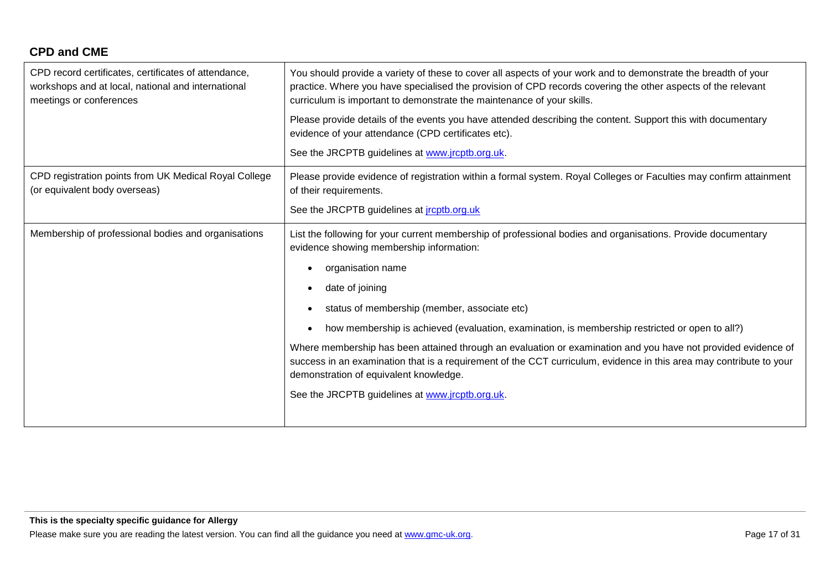# **CPD and CME**

| CPD record certificates, certificates of attendance,<br>workshops and at local, national and international<br>meetings or conferences | You should provide a variety of these to cover all aspects of your work and to demonstrate the breadth of your<br>practice. Where you have specialised the provision of CPD records covering the other aspects of the relevant<br>curriculum is important to demonstrate the maintenance of your skills. |
|---------------------------------------------------------------------------------------------------------------------------------------|----------------------------------------------------------------------------------------------------------------------------------------------------------------------------------------------------------------------------------------------------------------------------------------------------------|
|                                                                                                                                       | Please provide details of the events you have attended describing the content. Support this with documentary<br>evidence of your attendance (CPD certificates etc).                                                                                                                                      |
|                                                                                                                                       | See the JRCPTB guidelines at www.jrcptb.org.uk.                                                                                                                                                                                                                                                          |
| CPD registration points from UK Medical Royal College<br>(or equivalent body overseas)                                                | Please provide evidence of registration within a formal system. Royal Colleges or Faculties may confirm attainment<br>of their requirements.                                                                                                                                                             |
|                                                                                                                                       | See the JRCPTB guidelines at <i>jrcptb.org.uk</i>                                                                                                                                                                                                                                                        |
| Membership of professional bodies and organisations                                                                                   | List the following for your current membership of professional bodies and organisations. Provide documentary<br>evidence showing membership information:                                                                                                                                                 |
|                                                                                                                                       | organisation name                                                                                                                                                                                                                                                                                        |
|                                                                                                                                       | date of joining                                                                                                                                                                                                                                                                                          |
|                                                                                                                                       | status of membership (member, associate etc)<br>$\bullet$                                                                                                                                                                                                                                                |
|                                                                                                                                       | how membership is achieved (evaluation, examination, is membership restricted or open to all?)                                                                                                                                                                                                           |
|                                                                                                                                       | Where membership has been attained through an evaluation or examination and you have not provided evidence of<br>success in an examination that is a requirement of the CCT curriculum, evidence in this area may contribute to your<br>demonstration of equivalent knowledge.                           |
|                                                                                                                                       | See the JRCPTB guidelines at www.jrcptb.org.uk.                                                                                                                                                                                                                                                          |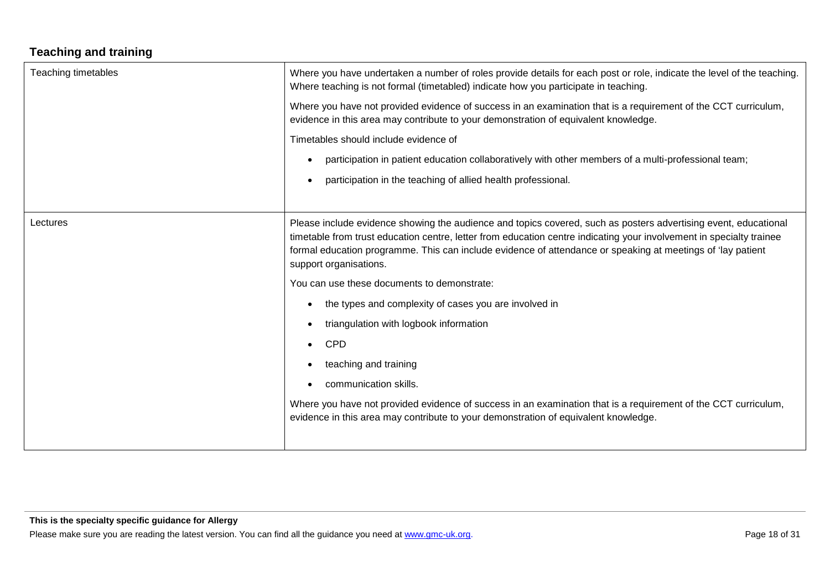# **Teaching and training**

| <b>Teaching timetables</b> | Where you have undertaken a number of roles provide details for each post or role, indicate the level of the teaching.<br>Where teaching is not formal (timetabled) indicate how you participate in teaching.                                                                                                                                                                    |
|----------------------------|----------------------------------------------------------------------------------------------------------------------------------------------------------------------------------------------------------------------------------------------------------------------------------------------------------------------------------------------------------------------------------|
|                            | Where you have not provided evidence of success in an examination that is a requirement of the CCT curriculum,<br>evidence in this area may contribute to your demonstration of equivalent knowledge.                                                                                                                                                                            |
|                            | Timetables should include evidence of                                                                                                                                                                                                                                                                                                                                            |
|                            | participation in patient education collaboratively with other members of a multi-professional team;                                                                                                                                                                                                                                                                              |
|                            | participation in the teaching of allied health professional.                                                                                                                                                                                                                                                                                                                     |
|                            |                                                                                                                                                                                                                                                                                                                                                                                  |
| Lectures                   | Please include evidence showing the audience and topics covered, such as posters advertising event, educational<br>timetable from trust education centre, letter from education centre indicating your involvement in specialty trainee<br>formal education programme. This can include evidence of attendance or speaking at meetings of 'lay patient<br>support organisations. |
|                            | You can use these documents to demonstrate:                                                                                                                                                                                                                                                                                                                                      |
|                            | the types and complexity of cases you are involved in                                                                                                                                                                                                                                                                                                                            |
|                            | triangulation with logbook information                                                                                                                                                                                                                                                                                                                                           |
|                            | <b>CPD</b>                                                                                                                                                                                                                                                                                                                                                                       |
|                            | teaching and training                                                                                                                                                                                                                                                                                                                                                            |
|                            | communication skills.                                                                                                                                                                                                                                                                                                                                                            |
|                            | Where you have not provided evidence of success in an examination that is a requirement of the CCT curriculum,<br>evidence in this area may contribute to your demonstration of equivalent knowledge.                                                                                                                                                                            |
|                            |                                                                                                                                                                                                                                                                                                                                                                                  |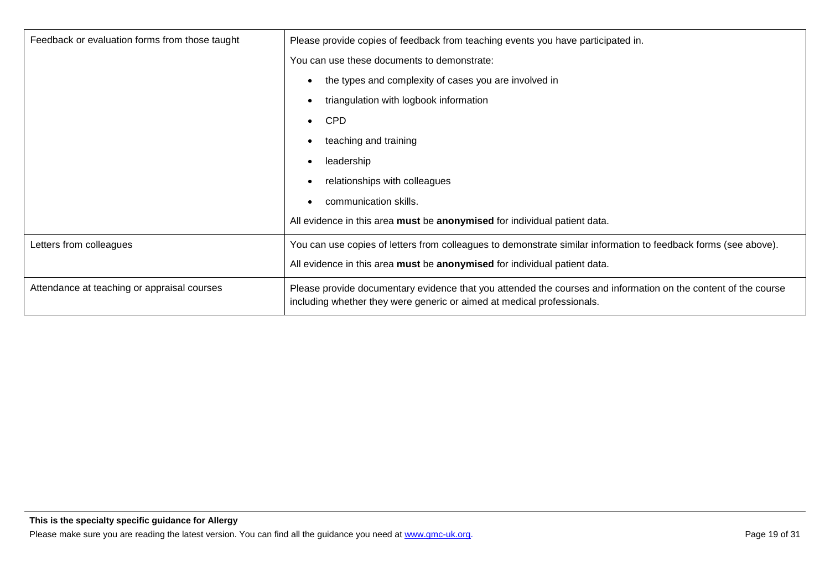| Feedback or evaluation forms from those taught | Please provide copies of feedback from teaching events you have participated in.                                                                                                         |
|------------------------------------------------|------------------------------------------------------------------------------------------------------------------------------------------------------------------------------------------|
|                                                | You can use these documents to demonstrate:                                                                                                                                              |
|                                                | the types and complexity of cases you are involved in                                                                                                                                    |
|                                                | triangulation with logbook information                                                                                                                                                   |
|                                                | <b>CPD</b>                                                                                                                                                                               |
|                                                | teaching and training                                                                                                                                                                    |
|                                                | leadership                                                                                                                                                                               |
|                                                | relationships with colleagues                                                                                                                                                            |
|                                                | communication skills.                                                                                                                                                                    |
|                                                | All evidence in this area must be anonymised for individual patient data.                                                                                                                |
| Letters from colleagues                        | You can use copies of letters from colleagues to demonstrate similar information to feedback forms (see above).                                                                          |
|                                                | All evidence in this area must be anonymised for individual patient data.                                                                                                                |
| Attendance at teaching or appraisal courses    | Please provide documentary evidence that you attended the courses and information on the content of the course<br>including whether they were generic or aimed at medical professionals. |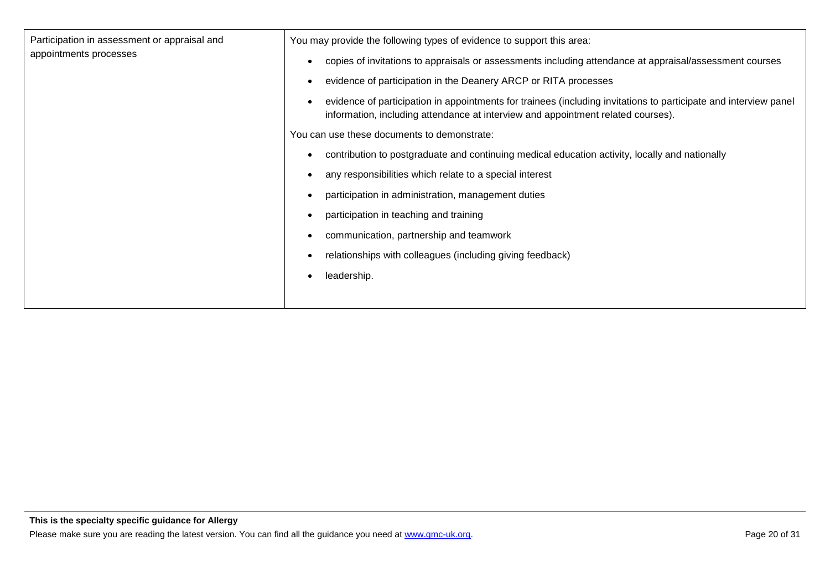| Participation in assessment or appraisal and<br>appointments processes | You may provide the following types of evidence to support this area:                                                                                                                                |
|------------------------------------------------------------------------|------------------------------------------------------------------------------------------------------------------------------------------------------------------------------------------------------|
|                                                                        | copies of invitations to appraisals or assessments including attendance at appraisal/assessment courses                                                                                              |
|                                                                        | evidence of participation in the Deanery ARCP or RITA processes                                                                                                                                      |
|                                                                        | evidence of participation in appointments for trainees (including invitations to participate and interview panel<br>information, including attendance at interview and appointment related courses). |
|                                                                        | You can use these documents to demonstrate:                                                                                                                                                          |
|                                                                        | contribution to postgraduate and continuing medical education activity, locally and nationally                                                                                                       |
|                                                                        | any responsibilities which relate to a special interest                                                                                                                                              |
|                                                                        | participation in administration, management duties                                                                                                                                                   |
|                                                                        | participation in teaching and training                                                                                                                                                               |
|                                                                        | communication, partnership and teamwork                                                                                                                                                              |
|                                                                        | relationships with colleagues (including giving feedback)                                                                                                                                            |
|                                                                        | leadership.                                                                                                                                                                                          |
|                                                                        |                                                                                                                                                                                                      |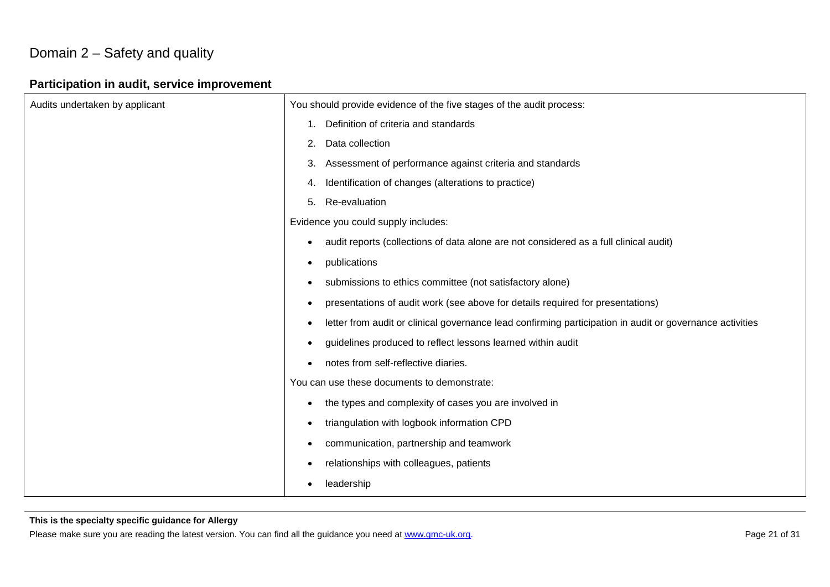# Domain 2 – Safety and quality

# **Participation in audit, service improvement**

| Audits undertaken by applicant | You should provide evidence of the five stages of the audit process:                                                  |
|--------------------------------|-----------------------------------------------------------------------------------------------------------------------|
|                                | Definition of criteria and standards<br>1.                                                                            |
|                                | Data collection<br>2.                                                                                                 |
|                                | Assessment of performance against criteria and standards<br>3.                                                        |
|                                | Identification of changes (alterations to practice)<br>4.                                                             |
|                                | Re-evaluation<br>5.                                                                                                   |
|                                | Evidence you could supply includes:                                                                                   |
|                                | audit reports (collections of data alone are not considered as a full clinical audit)<br>$\bullet$                    |
|                                | publications<br>$\bullet$                                                                                             |
|                                | submissions to ethics committee (not satisfactory alone)<br>$\bullet$                                                 |
|                                | presentations of audit work (see above for details required for presentations)<br>$\bullet$                           |
|                                | letter from audit or clinical governance lead confirming participation in audit or governance activities<br>$\bullet$ |
|                                | guidelines produced to reflect lessons learned within audit<br>$\bullet$                                              |
|                                | notes from self-reflective diaries.                                                                                   |
|                                | You can use these documents to demonstrate:                                                                           |
|                                | the types and complexity of cases you are involved in<br>$\bullet$                                                    |
|                                | triangulation with logbook information CPD<br>$\bullet$                                                               |
|                                | communication, partnership and teamwork<br>$\bullet$                                                                  |
|                                | relationships with colleagues, patients<br>$\bullet$                                                                  |
|                                | leadership<br>$\bullet$                                                                                               |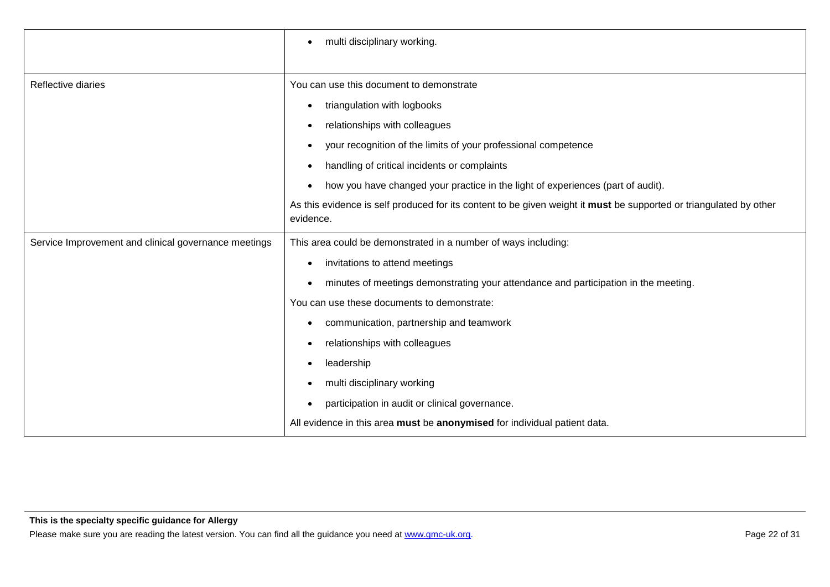|                                                      | multi disciplinary working.<br>$\bullet$                                                                                        |
|------------------------------------------------------|---------------------------------------------------------------------------------------------------------------------------------|
|                                                      |                                                                                                                                 |
| Reflective diaries                                   | You can use this document to demonstrate                                                                                        |
|                                                      | triangulation with logbooks<br>٠                                                                                                |
|                                                      | relationships with colleagues<br>٠                                                                                              |
|                                                      | your recognition of the limits of your professional competence<br>$\bullet$                                                     |
|                                                      | handling of critical incidents or complaints<br>٠                                                                               |
|                                                      | how you have changed your practice in the light of experiences (part of audit).                                                 |
|                                                      | As this evidence is self produced for its content to be given weight it must be supported or triangulated by other<br>evidence. |
| Service Improvement and clinical governance meetings | This area could be demonstrated in a number of ways including:                                                                  |
|                                                      |                                                                                                                                 |
|                                                      | invitations to attend meetings<br>٠                                                                                             |
|                                                      | minutes of meetings demonstrating your attendance and participation in the meeting.                                             |
|                                                      | You can use these documents to demonstrate:                                                                                     |
|                                                      | communication, partnership and teamwork<br>٠                                                                                    |
|                                                      | relationships with colleagues                                                                                                   |
|                                                      | leadership                                                                                                                      |
|                                                      | multi disciplinary working                                                                                                      |
|                                                      | participation in audit or clinical governance.                                                                                  |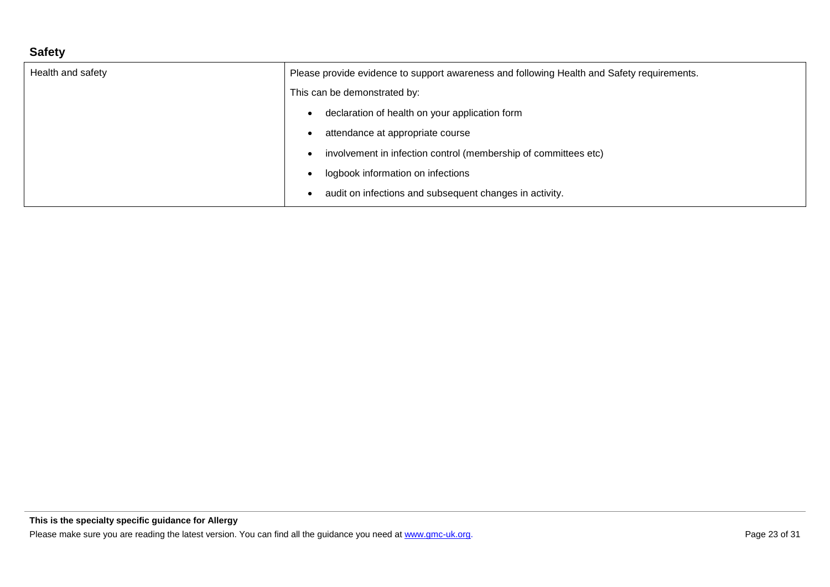# **Safety**

| Health and safety | Please provide evidence to support awareness and following Health and Safety requirements. |
|-------------------|--------------------------------------------------------------------------------------------|
|                   | This can be demonstrated by:                                                               |
|                   | declaration of health on your application form                                             |
|                   | attendance at appropriate course                                                           |
|                   | involvement in infection control (membership of committees etc)                            |
|                   | logbook information on infections                                                          |
|                   | audit on infections and subsequent changes in activity.                                    |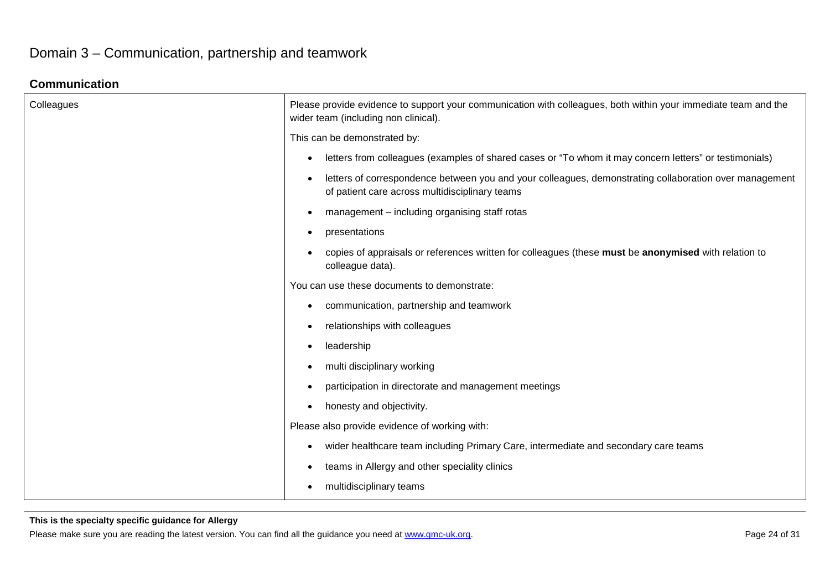# Domain 3 – Communication, partnership and teamwork

# **Communication**

| Colleagues | Please provide evidence to support your communication with colleagues, both within your immediate team and the<br>wider team (including non clinical).                |
|------------|-----------------------------------------------------------------------------------------------------------------------------------------------------------------------|
|            | This can be demonstrated by:                                                                                                                                          |
|            | letters from colleagues (examples of shared cases or "To whom it may concern letters" or testimonials)<br>$\bullet$                                                   |
|            | letters of correspondence between you and your colleagues, demonstrating collaboration over management<br>$\bullet$<br>of patient care across multidisciplinary teams |
|            | management - including organising staff rotas<br>$\bullet$                                                                                                            |
|            | presentations<br>$\bullet$                                                                                                                                            |
|            | copies of appraisals or references written for colleagues (these must be anonymised with relation to<br>$\bullet$<br>colleague data).                                 |
|            | You can use these documents to demonstrate:                                                                                                                           |
|            | communication, partnership and teamwork<br>$\bullet$                                                                                                                  |
|            | relationships with colleagues<br>$\bullet$                                                                                                                            |
|            | leadership<br>$\bullet$                                                                                                                                               |
|            | multi disciplinary working<br>$\bullet$                                                                                                                               |
|            | participation in directorate and management meetings<br>$\bullet$                                                                                                     |
|            | honesty and objectivity.<br>$\bullet$                                                                                                                                 |
|            | Please also provide evidence of working with:                                                                                                                         |
|            | wider healthcare team including Primary Care, intermediate and secondary care teams<br>$\bullet$                                                                      |
|            | teams in Allergy and other speciality clinics<br>$\bullet$                                                                                                            |
|            | multidisciplinary teams<br>$\bullet$                                                                                                                                  |

#### **This is the specialty specific guidance for Allergy**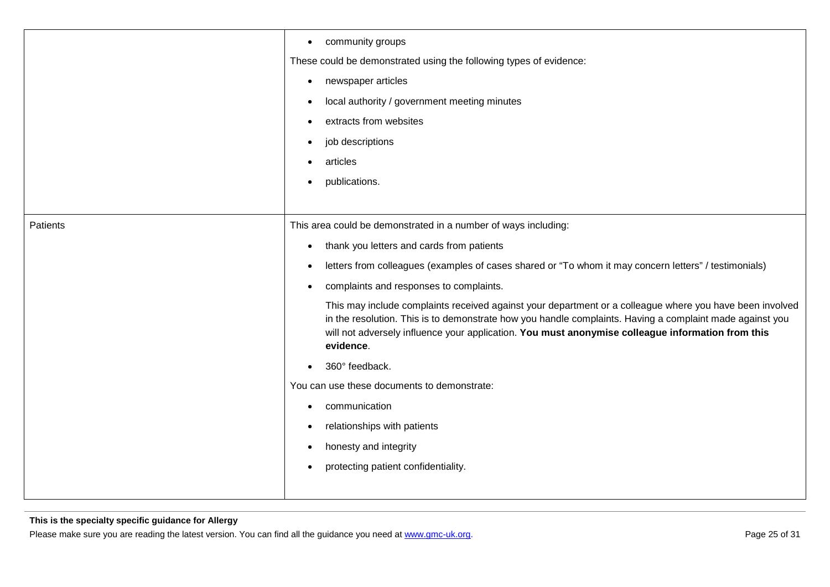|          | community groups<br>$\bullet$                                                                                                                                                                                                                                                                                                          |
|----------|----------------------------------------------------------------------------------------------------------------------------------------------------------------------------------------------------------------------------------------------------------------------------------------------------------------------------------------|
|          | These could be demonstrated using the following types of evidence:                                                                                                                                                                                                                                                                     |
|          | newspaper articles<br>$\bullet$                                                                                                                                                                                                                                                                                                        |
|          | local authority / government meeting minutes<br>$\bullet$                                                                                                                                                                                                                                                                              |
|          | extracts from websites<br>$\bullet$                                                                                                                                                                                                                                                                                                    |
|          | job descriptions                                                                                                                                                                                                                                                                                                                       |
|          | articles                                                                                                                                                                                                                                                                                                                               |
|          | publications.<br>$\bullet$                                                                                                                                                                                                                                                                                                             |
|          |                                                                                                                                                                                                                                                                                                                                        |
| Patients | This area could be demonstrated in a number of ways including:                                                                                                                                                                                                                                                                         |
|          | thank you letters and cards from patients<br>$\bullet$                                                                                                                                                                                                                                                                                 |
|          | letters from colleagues (examples of cases shared or "To whom it may concern letters" / testimonials)<br>$\bullet$                                                                                                                                                                                                                     |
|          | complaints and responses to complaints.                                                                                                                                                                                                                                                                                                |
|          | This may include complaints received against your department or a colleague where you have been involved<br>in the resolution. This is to demonstrate how you handle complaints. Having a complaint made against you<br>will not adversely influence your application. You must anonymise colleague information from this<br>evidence. |
|          | 360° feedback.                                                                                                                                                                                                                                                                                                                         |
|          | You can use these documents to demonstrate:                                                                                                                                                                                                                                                                                            |
|          | communication                                                                                                                                                                                                                                                                                                                          |
|          | relationships with patients                                                                                                                                                                                                                                                                                                            |
|          | honesty and integrity<br>$\bullet$                                                                                                                                                                                                                                                                                                     |
|          | protecting patient confidentiality.                                                                                                                                                                                                                                                                                                    |
|          |                                                                                                                                                                                                                                                                                                                                        |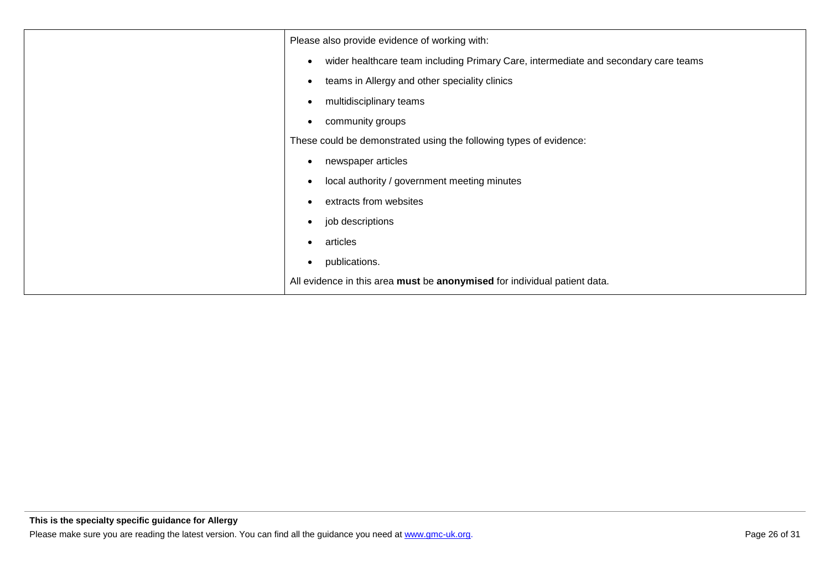| Please also provide evidence of working with:                                                    |
|--------------------------------------------------------------------------------------------------|
| wider healthcare team including Primary Care, intermediate and secondary care teams<br>$\bullet$ |
| teams in Allergy and other speciality clinics<br>$\bullet$                                       |
| multidisciplinary teams<br>$\bullet$                                                             |
| community groups<br>$\bullet$                                                                    |
| These could be demonstrated using the following types of evidence:                               |
| newspaper articles<br>$\bullet$                                                                  |
| local authority / government meeting minutes<br>$\bullet$                                        |
| extracts from websites<br>$\bullet$                                                              |
| job descriptions<br>$\bullet$                                                                    |
| articles<br>$\bullet$                                                                            |
| publications.<br>$\bullet$                                                                       |
| All evidence in this area must be anonymised for individual patient data.                        |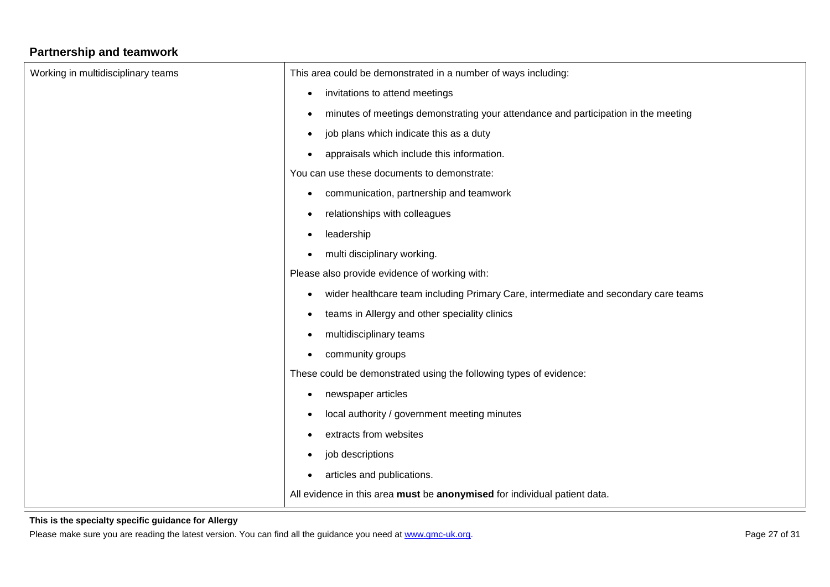# **Partnership and teamwork**

| Working in multidisciplinary teams | This area could be demonstrated in a number of ways including:                                   |
|------------------------------------|--------------------------------------------------------------------------------------------------|
|                                    | invitations to attend meetings<br>$\bullet$                                                      |
|                                    | minutes of meetings demonstrating your attendance and participation in the meeting<br>$\bullet$  |
|                                    | job plans which indicate this as a duty<br>$\bullet$                                             |
|                                    | appraisals which include this information.<br>$\bullet$                                          |
|                                    | You can use these documents to demonstrate:                                                      |
|                                    | communication, partnership and teamwork<br>$\bullet$                                             |
|                                    | relationships with colleagues<br>$\bullet$                                                       |
|                                    | leadership<br>$\bullet$                                                                          |
|                                    | multi disciplinary working.<br>$\bullet$                                                         |
|                                    | Please also provide evidence of working with:                                                    |
|                                    | wider healthcare team including Primary Care, intermediate and secondary care teams<br>$\bullet$ |
|                                    | teams in Allergy and other speciality clinics<br>$\bullet$                                       |
|                                    | multidisciplinary teams<br>$\bullet$                                                             |
|                                    | community groups<br>$\bullet$                                                                    |
|                                    | These could be demonstrated using the following types of evidence:                               |
|                                    | newspaper articles<br>$\bullet$                                                                  |
|                                    | local authority / government meeting minutes<br>$\bullet$                                        |
|                                    | extracts from websites<br>$\bullet$                                                              |
|                                    | job descriptions<br>$\bullet$                                                                    |
|                                    | articles and publications.<br>$\bullet$                                                          |
|                                    | All evidence in this area must be anonymised for individual patient data.                        |

### **This is the specialty specific guidance for Allergy**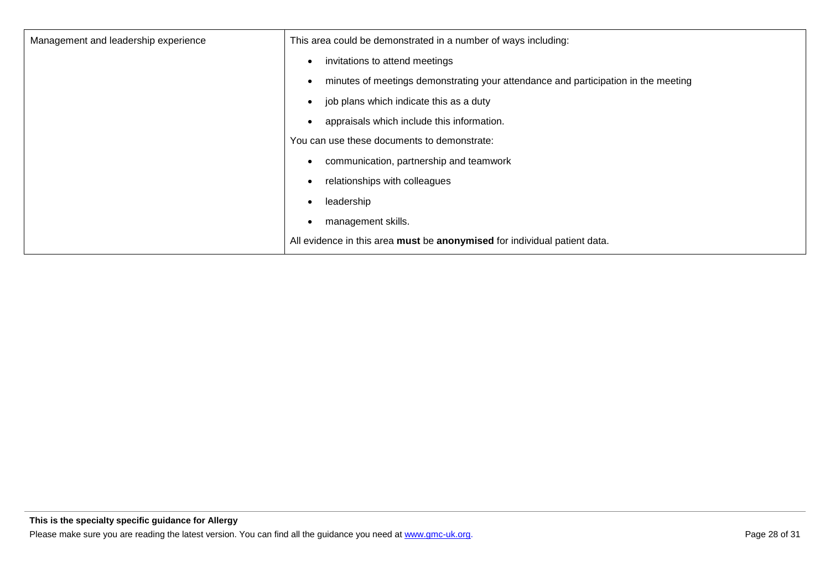| Management and leadership experience | This area could be demonstrated in a number of ways including:                     |
|--------------------------------------|------------------------------------------------------------------------------------|
|                                      | invitations to attend meetings                                                     |
|                                      | minutes of meetings demonstrating your attendance and participation in the meeting |
|                                      | job plans which indicate this as a duty<br>$\bullet$                               |
|                                      | appraisals which include this information.                                         |
|                                      | You can use these documents to demonstrate:                                        |
|                                      | communication, partnership and teamwork                                            |
|                                      | relationships with colleagues                                                      |
|                                      | leadership<br>$\bullet$                                                            |
|                                      | management skills.<br>٠                                                            |
|                                      | All evidence in this area must be anonymised for individual patient data.          |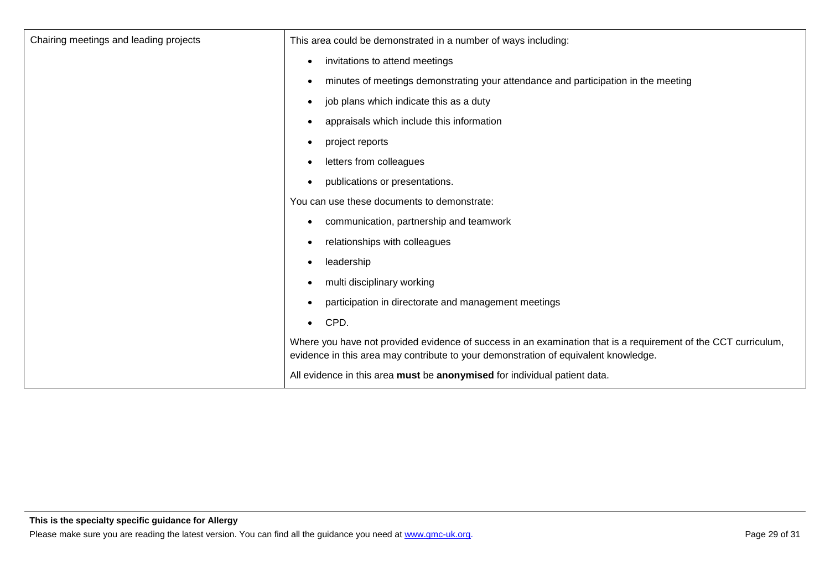| Chairing meetings and leading projects | This area could be demonstrated in a number of ways including:                                                                                                                                        |
|----------------------------------------|-------------------------------------------------------------------------------------------------------------------------------------------------------------------------------------------------------|
|                                        | invitations to attend meetings<br>٠                                                                                                                                                                   |
|                                        | minutes of meetings demonstrating your attendance and participation in the meeting<br>$\bullet$                                                                                                       |
|                                        | job plans which indicate this as a duty<br>$\bullet$                                                                                                                                                  |
|                                        | appraisals which include this information<br>$\bullet$                                                                                                                                                |
|                                        | project reports<br>٠                                                                                                                                                                                  |
|                                        | letters from colleagues<br>$\bullet$                                                                                                                                                                  |
|                                        | publications or presentations.<br>$\bullet$                                                                                                                                                           |
|                                        | You can use these documents to demonstrate:                                                                                                                                                           |
|                                        | communication, partnership and teamwork<br>٠                                                                                                                                                          |
|                                        | relationships with colleagues<br>$\bullet$                                                                                                                                                            |
|                                        | leadership<br>$\bullet$                                                                                                                                                                               |
|                                        | multi disciplinary working<br>$\bullet$                                                                                                                                                               |
|                                        | participation in directorate and management meetings<br>$\bullet$                                                                                                                                     |
|                                        | CPD.<br>$\bullet$                                                                                                                                                                                     |
|                                        | Where you have not provided evidence of success in an examination that is a requirement of the CCT curriculum,<br>evidence in this area may contribute to your demonstration of equivalent knowledge. |
|                                        | All evidence in this area must be anonymised for individual patient data.                                                                                                                             |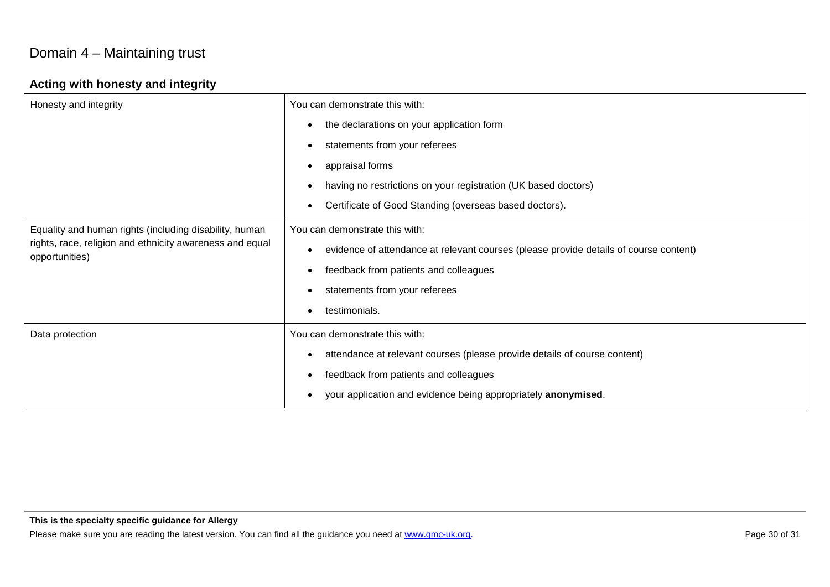# Domain 4 – Maintaining trust

# **Acting with honesty and integrity**

| Honesty and integrity                                                                                                                | You can demonstrate this with:                                                             |
|--------------------------------------------------------------------------------------------------------------------------------------|--------------------------------------------------------------------------------------------|
|                                                                                                                                      | the declarations on your application form<br>$\bullet$                                     |
|                                                                                                                                      | statements from your referees<br>٠                                                         |
|                                                                                                                                      | appraisal forms<br>$\bullet$                                                               |
|                                                                                                                                      | having no restrictions on your registration (UK based doctors)                             |
|                                                                                                                                      | Certificate of Good Standing (overseas based doctors).<br>$\bullet$                        |
| Equality and human rights (including disability, human<br>rights, race, religion and ethnicity awareness and equal<br>opportunities) | You can demonstrate this with:                                                             |
|                                                                                                                                      | evidence of attendance at relevant courses (please provide details of course content)<br>٠ |
|                                                                                                                                      | feedback from patients and colleagues<br>$\bullet$                                         |
|                                                                                                                                      | statements from your referees<br>$\bullet$                                                 |
|                                                                                                                                      | testimonials.                                                                              |
| Data protection                                                                                                                      | You can demonstrate this with:                                                             |
|                                                                                                                                      | attendance at relevant courses (please provide details of course content)                  |
|                                                                                                                                      | feedback from patients and colleagues<br>$\bullet$                                         |
|                                                                                                                                      | your application and evidence being appropriately anonymised.                              |